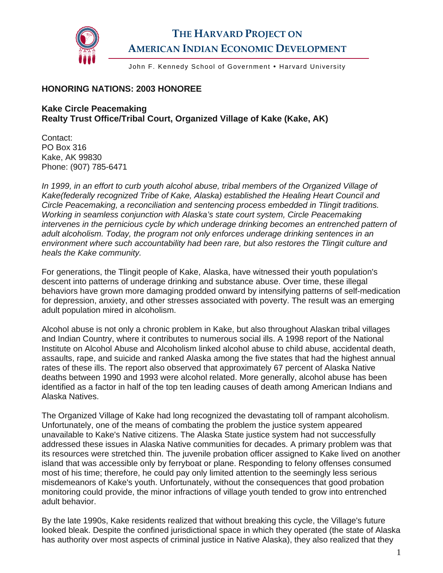

## **THE HARVARD PROJECT ON AMERICAN INDIAN ECONOMIC DEVELOPMENT**

John F. Kennedy School of Government • Harvard University

## **HONORING NATIONS: 2003 HONOREE**

## **Kake Circle Peacemaking Realty Trust Office/Tribal Court, Organized Village of Kake (Kake, AK)**

Contact: PO Box 316 Kake, AK 99830 Phone: (907) 785-6471

*In 1999, in an effort to curb youth alcohol abuse, tribal members of the Organized Village of Kake(federally recognized Tribe of Kake, Alaska) established the Healing Heart Council and Circle Peacemaking, a reconciliation and sentencing process embedded in Tlingit traditions. Working in seamless conjunction with Alaska's state court system, Circle Peacemaking intervenes in the pernicious cycle by which underage drinking becomes an entrenched pattern of adult alcoholism. Today, the program not only enforces underage drinking sentences in an environment where such accountability had been rare, but also restores the Tlingit culture and heals the Kake community.* 

For generations, the Tlingit people of Kake, Alaska, have witnessed their youth population's descent into patterns of underage drinking and substance abuse. Over time, these illegal behaviors have grown more damaging prodded onward by intensifying patterns of self-medication for depression, anxiety, and other stresses associated with poverty. The result was an emerging adult population mired in alcoholism.

Alcohol abuse is not only a chronic problem in Kake, but also throughout Alaskan tribal villages and Indian Country, where it contributes to numerous social ills. A 1998 report of the National Institute on Alcohol Abuse and Alcoholism linked alcohol abuse to child abuse, accidental death, assaults, rape, and suicide and ranked Alaska among the five states that had the highest annual rates of these ills. The report also observed that approximately 67 percent of Alaska Native deaths between 1990 and 1993 were alcohol related. More generally, alcohol abuse has been identified as a factor in half of the top ten leading causes of death among American Indians and Alaska Natives.

The Organized Village of Kake had long recognized the devastating toll of rampant alcoholism. Unfortunately, one of the means of combating the problem the justice system appeared unavailable to Kake's Native citizens. The Alaska State justice system had not successfully addressed these issues in Alaska Native communities for decades. A primary problem was that its resources were stretched thin. The juvenile probation officer assigned to Kake lived on another island that was accessible only by ferryboat or plane. Responding to felony offenses consumed most of his time; therefore, he could pay only limited attention to the seemingly less serious misdemeanors of Kake's youth. Unfortunately, without the consequences that good probation monitoring could provide, the minor infractions of village youth tended to grow into entrenched adult behavior.

By the late 1990s, Kake residents realized that without breaking this cycle, the Village's future looked bleak. Despite the confined jurisdictional space in which they operated (the state of Alaska has authority over most aspects of criminal justice in Native Alaska), they also realized that they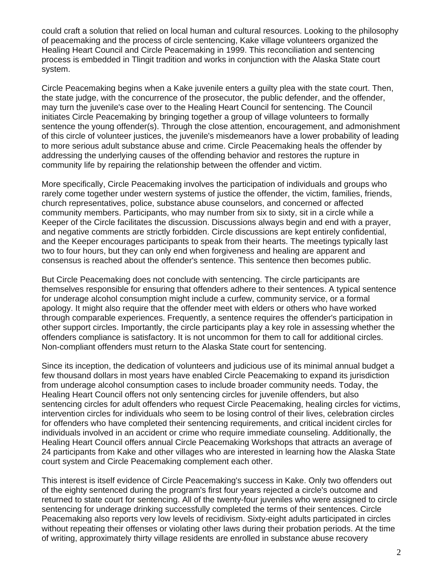could craft a solution that relied on local human and cultural resources. Looking to the philosophy of peacemaking and the process of circle sentencing, Kake village volunteers organized the Healing Heart Council and Circle Peacemaking in 1999. This reconciliation and sentencing process is embedded in Tlingit tradition and works in conjunction with the Alaska State court system.

Circle Peacemaking begins when a Kake juvenile enters a guilty plea with the state court. Then, the state judge, with the concurrence of the prosecutor, the public defender, and the offender, may turn the juvenile's case over to the Healing Heart Council for sentencing. The Council initiates Circle Peacemaking by bringing together a group of village volunteers to formally sentence the young offender(s). Through the close attention, encouragement, and admonishment of this circle of volunteer justices, the juvenile's misdemeanors have a lower probability of leading to more serious adult substance abuse and crime. Circle Peacemaking heals the offender by addressing the underlying causes of the offending behavior and restores the rupture in community life by repairing the relationship between the offender and victim.

More specifically, Circle Peacemaking involves the participation of individuals and groups who rarely come together under western systems of justice the offender, the victim, families, friends, church representatives, police, substance abuse counselors, and concerned or affected community members. Participants, who may number from six to sixty, sit in a circle while a Keeper of the Circle facilitates the discussion. Discussions always begin and end with a prayer, and negative comments are strictly forbidden. Circle discussions are kept entirely confidential, and the Keeper encourages participants to speak from their hearts. The meetings typically last two to four hours, but they can only end when forgiveness and healing are apparent and consensus is reached about the offender's sentence. This sentence then becomes public.

But Circle Peacemaking does not conclude with sentencing. The circle participants are themselves responsible for ensuring that offenders adhere to their sentences. A typical sentence for underage alcohol consumption might include a curfew, community service, or a formal apology. It might also require that the offender meet with elders or others who have worked through comparable experiences. Frequently, a sentence requires the offender's participation in other support circles. Importantly, the circle participants play a key role in assessing whether the offenders compliance is satisfactory. It is not uncommon for them to call for additional circles. Non-compliant offenders must return to the Alaska State court for sentencing.

Since its inception, the dedication of volunteers and judicious use of its minimal annual budget a few thousand dollars in most years have enabled Circle Peacemaking to expand its jurisdiction from underage alcohol consumption cases to include broader community needs. Today, the Healing Heart Council offers not only sentencing circles for juvenile offenders, but also sentencing circles for adult offenders who request Circle Peacemaking, healing circles for victims, intervention circles for individuals who seem to be losing control of their lives, celebration circles for offenders who have completed their sentencing requirements, and critical incident circles for individuals involved in an accident or crime who require immediate counseling. Additionally, the Healing Heart Council offers annual Circle Peacemaking Workshops that attracts an average of 24 participants from Kake and other villages who are interested in learning how the Alaska State court system and Circle Peacemaking complement each other.

This interest is itself evidence of Circle Peacemaking's success in Kake. Only two offenders out of the eighty sentenced during the program's first four years rejected a circle's outcome and returned to state court for sentencing. All of the twenty-four juveniles who were assigned to circle sentencing for underage drinking successfully completed the terms of their sentences. Circle Peacemaking also reports very low levels of recidivism. Sixty-eight adults participated in circles without repeating their offenses or violating other laws during their probation periods. At the time of writing, approximately thirty village residents are enrolled in substance abuse recovery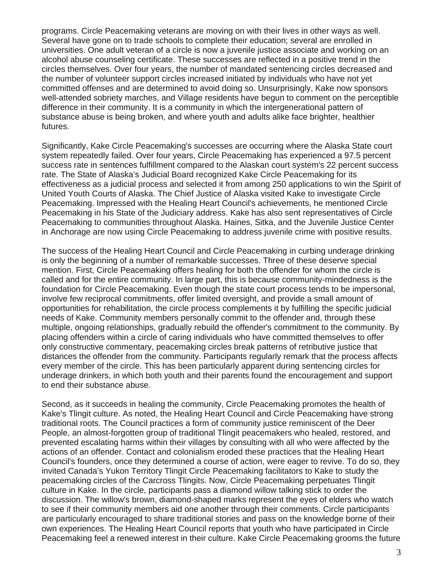programs. Circle Peacemaking veterans are moving on with their lives in other ways as well. Several have gone on to trade schools to complete their education; several are enrolled in universities. One adult veteran of a circle is now a juvenile justice associate and working on an alcohol abuse counseling certificate. These successes are reflected in a positive trend in the circles themselves. Over four years, the number of mandated sentencing circles decreased and the number of volunteer support circles increased initiated by individuals who have not yet committed offenses and are determined to avoid doing so. Unsurprisingly, Kake now sponsors well-attended sobriety marches, and Village residents have begun to comment on the perceptible difference in their community. It is a community in which the intergenerational pattern of substance abuse is being broken, and where youth and adults alike face brighter, healthier futures.

Significantly, Kake Circle Peacemaking's successes are occurring where the Alaska State court system repeatedly failed. Over four years, Circle Peacemaking has experienced a 97.5 percent success rate in sentences fulfillment compared to the Alaskan court system's 22 percent success rate. The State of Alaska's Judicial Board recognized Kake Circle Peacemaking for its effectiveness as a judicial process and selected it from among 250 applications to win the Spirit of United Youth Courts of Alaska. The Chief Justice of Alaska visited Kake to investigate Circle Peacemaking. Impressed with the Healing Heart Council's achievements, he mentioned Circle Peacemaking in his State of the Judiciary address. Kake has also sent representatives of Circle Peacemaking to communities throughout Alaska. Haines, Sitka, and the Juvenile Justice Center in Anchorage are now using Circle Peacemaking to address juvenile crime with positive results.

The success of the Healing Heart Council and Circle Peacemaking in curbing underage drinking is only the beginning of a number of remarkable successes. Three of these deserve special mention. First, Circle Peacemaking offers healing for both the offender for whom the circle is called and for the entire community. In large part, this is because community-mindedness is the foundation for Circle Peacemaking. Even though the state court process tends to be impersonal, involve few reciprocal commitments, offer limited oversight, and provide a small amount of opportunities for rehabilitation, the circle process complements it by fulfilling the specific judicial needs of Kake. Community members personally commit to the offender and, through these multiple, ongoing relationships, gradually rebuild the offender's commitment to the community. By placing offenders within a circle of caring individuals who have committed themselves to offer only constructive commentary, peacemaking circles break patterns of retributive justice that distances the offender from the community. Participants regularly remark that the process affects every member of the circle. This has been particularly apparent during sentencing circles for underage drinkers, in which both youth and their parents found the encouragement and support to end their substance abuse.

Second, as it succeeds in healing the community, Circle Peacemaking promotes the health of Kake's Tlingit culture. As noted, the Healing Heart Council and Circle Peacemaking have strong traditional roots. The Council practices a form of community justice reminiscent of the Deer People, an almost-forgotten group of traditional Tlingit peacemakers who healed, restored, and prevented escalating harms within their villages by consulting with all who were affected by the actions of an offender. Contact and colonialism eroded these practices that the Healing Heart Council's founders, once they determined a course of action, were eager to revive. To do so, they invited Canada's Yukon Territory Tlingit Circle Peacemaking facilitators to Kake to study the peacemaking circles of the Carcross Tlingits. Now, Circle Peacemaking perpetuates Tlingit culture in Kake. In the circle, participants pass a diamond willow talking stick to order the discussion. The willow's brown, diamond-shaped marks represent the eyes of elders who watch to see if their community members aid one another through their comments. Circle participants are particularly encouraged to share traditional stories and pass on the knowledge borne of their own experiences. The Healing Heart Council reports that youth who have participated in Circle Peacemaking feel a renewed interest in their culture. Kake Circle Peacemaking grooms the future